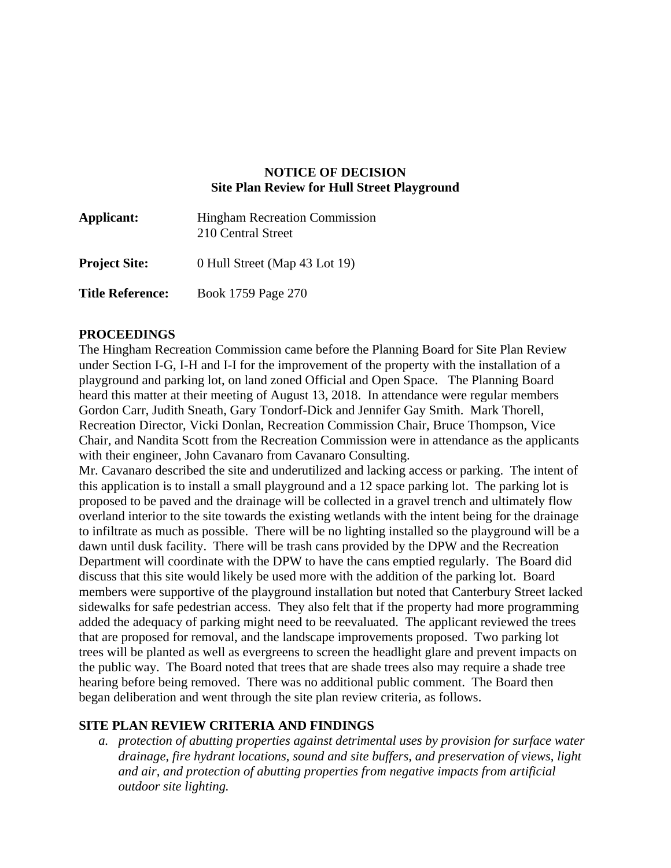## **NOTICE OF DECISION Site Plan Review for Hull Street Playground**

| Applicant:              | <b>Hingham Recreation Commission</b><br>210 Central Street |
|-------------------------|------------------------------------------------------------|
| <b>Project Site:</b>    | 0 Hull Street (Map 43 Lot 19)                              |
| <b>Title Reference:</b> | Book 1759 Page 270                                         |

## **PROCEEDINGS**

The Hingham Recreation Commission came before the Planning Board for Site Plan Review under Section I-G, I-H and I-I for the improvement of the property with the installation of a playground and parking lot, on land zoned Official and Open Space. The Planning Board heard this matter at their meeting of August 13, 2018. In attendance were regular members Gordon Carr, Judith Sneath, Gary Tondorf-Dick and Jennifer Gay Smith. Mark Thorell, Recreation Director, Vicki Donlan, Recreation Commission Chair, Bruce Thompson, Vice Chair, and Nandita Scott from the Recreation Commission were in attendance as the applicants with their engineer, John Cavanaro from Cavanaro Consulting.

Mr. Cavanaro described the site and underutilized and lacking access or parking. The intent of this application is to install a small playground and a 12 space parking lot. The parking lot is proposed to be paved and the drainage will be collected in a gravel trench and ultimately flow overland interior to the site towards the existing wetlands with the intent being for the drainage to infiltrate as much as possible. There will be no lighting installed so the playground will be a dawn until dusk facility. There will be trash cans provided by the DPW and the Recreation Department will coordinate with the DPW to have the cans emptied regularly. The Board did discuss that this site would likely be used more with the addition of the parking lot. Board members were supportive of the playground installation but noted that Canterbury Street lacked sidewalks for safe pedestrian access. They also felt that if the property had more programming added the adequacy of parking might need to be reevaluated. The applicant reviewed the trees that are proposed for removal, and the landscape improvements proposed. Two parking lot trees will be planted as well as evergreens to screen the headlight glare and prevent impacts on the public way. The Board noted that trees that are shade trees also may require a shade tree hearing before being removed. There was no additional public comment. The Board then began deliberation and went through the site plan review criteria, as follows.

## **SITE PLAN REVIEW CRITERIA AND FINDINGS**

*a. protection of abutting properties against detrimental uses by provision for surface water drainage, fire hydrant locations, sound and site buffers, and preservation of views, light and air, and protection of abutting properties from negative impacts from artificial outdoor site lighting.*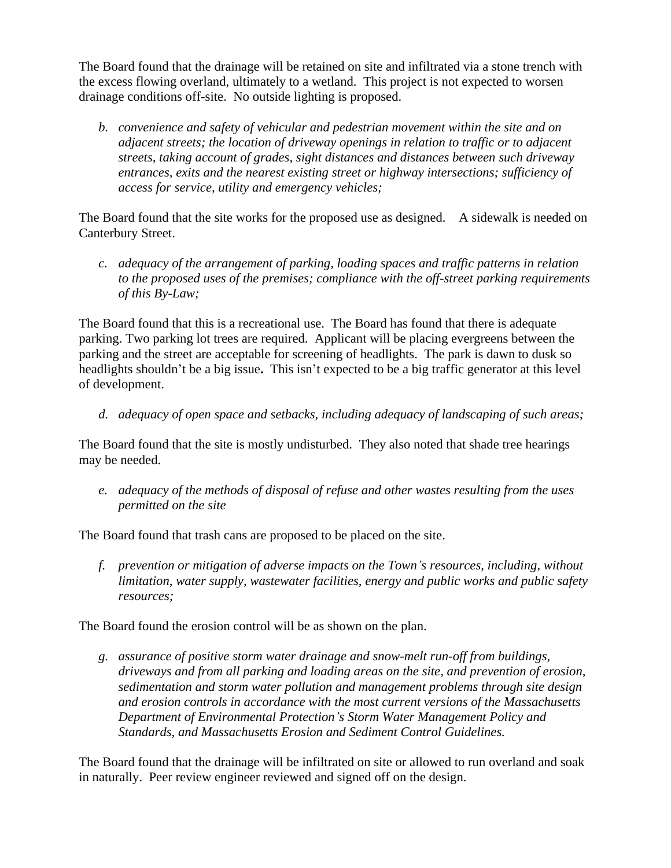The Board found that the drainage will be retained on site and infiltrated via a stone trench with the excess flowing overland, ultimately to a wetland. This project is not expected to worsen drainage conditions off-site. No outside lighting is proposed.

*b. convenience and safety of vehicular and pedestrian movement within the site and on adjacent streets; the location of driveway openings in relation to traffic or to adjacent streets, taking account of grades, sight distances and distances between such driveway entrances, exits and the nearest existing street or highway intersections; sufficiency of access for service, utility and emergency vehicles;*

The Board found that the site works for the proposed use as designed. A sidewalk is needed on Canterbury Street.

*c. adequacy of the arrangement of parking, loading spaces and traffic patterns in relation to the proposed uses of the premises; compliance with the off-street parking requirements of this By-Law;*

The Board found that this is a recreational use. The Board has found that there is adequate parking. Two parking lot trees are required. Applicant will be placing evergreens between the parking and the street are acceptable for screening of headlights. The park is dawn to dusk so headlights shouldn't be a big issue**.** This isn't expected to be a big traffic generator at this level of development.

*d. adequacy of open space and setbacks, including adequacy of landscaping of such areas;*

The Board found that the site is mostly undisturbed. They also noted that shade tree hearings may be needed.

*e. adequacy of the methods of disposal of refuse and other wastes resulting from the uses permitted on the site*

The Board found that trash cans are proposed to be placed on the site.

*f. prevention or mitigation of adverse impacts on the Town's resources, including, without limitation, water supply, wastewater facilities, energy and public works and public safety resources;*

The Board found the erosion control will be as shown on the plan.

*g. assurance of positive storm water drainage and snow-melt run-off from buildings, driveways and from all parking and loading areas on the site, and prevention of erosion, sedimentation and storm water pollution and management problems through site design and erosion controls in accordance with the most current versions of the Massachusetts Department of Environmental Protection's Storm Water Management Policy and Standards, and Massachusetts Erosion and Sediment Control Guidelines.*

The Board found that the drainage will be infiltrated on site or allowed to run overland and soak in naturally. Peer review engineer reviewed and signed off on the design.